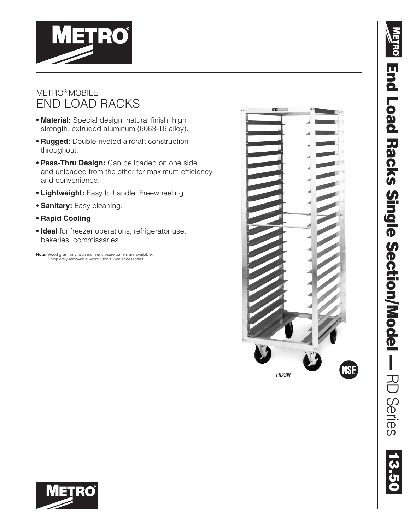

#### METRO® MOBILE END LOAD RACKS

- **Material:** Special design, natural finish, high strength, extruded aluminum (6063-T6 alloy).
- **• Rugged:** Double-riveted aircraft construction throughout.
- **Pass-Thru Design:** Can be loaded on one side and unloaded from the other for maximum efficiency and convenience.
- **Lightweight:** Easy to handle. Freewheeling.
- **Sanitary:** Easy cleaning.
- **• Rapid Cooling**
- **Ideal** for freezer operations, refrigerator use, bakeries, commissaries.

**Note:** Wood grain vinyl aluminum enclosure panels are available. Completely removable without tools. See accessories.